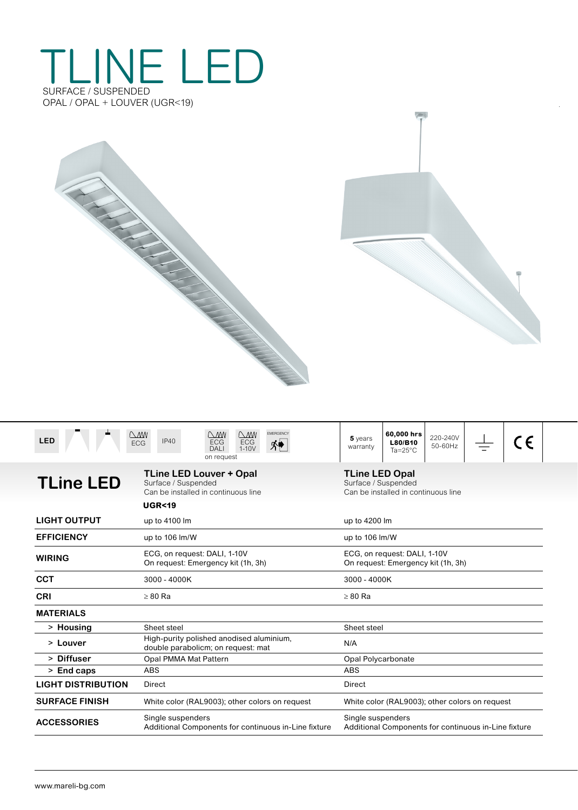## TLINE LED SURFACE / SUSPENDED OPAL / OPAL + LOUVER (UGR<19)

| <b>LED</b>                | <b>EMERGENCY</b><br>$\bigcirc$ MW<br>$\bigcirc$<br>$\bigcirc$<br>IP40<br><b>ECG</b><br><b>ECG</b><br><b>ECG</b><br>难<br>$1-10V$<br><b>DALI</b><br>on request | 60,000 hrs<br>220-240V<br>5 years<br>C E<br>L80/B10<br>50-60Hz<br>warranty<br>$Ta = 25^{\circ}C$ |  |  |  |  |  |
|---------------------------|--------------------------------------------------------------------------------------------------------------------------------------------------------------|--------------------------------------------------------------------------------------------------|--|--|--|--|--|
| <b>TLine LED</b>          | <b>TLine LED Louver + Opal</b><br>Surface / Suspended<br>Can be installed in continuous line                                                                 | <b>TLine LED Opal</b><br>Surface / Suspended<br>Can be installed in continuous line              |  |  |  |  |  |
|                           | <b>UGR&lt;19</b>                                                                                                                                             |                                                                                                  |  |  |  |  |  |
| <b>LIGHT OUTPUT</b>       | up to 4100 lm                                                                                                                                                | up to 4200 lm                                                                                    |  |  |  |  |  |
| <b>EFFICIENCY</b>         | up to 106 lm/W                                                                                                                                               | up to 106 lm/W                                                                                   |  |  |  |  |  |
| <b>WIRING</b>             | ECG, on request: DALI, 1-10V<br>On request: Emergency kit (1h, 3h)                                                                                           | ECG, on request: DALI, 1-10V<br>On request: Emergency kit (1h, 3h)                               |  |  |  |  |  |
| <b>CCT</b>                | 3000 - 4000K                                                                                                                                                 | 3000 - 4000K                                                                                     |  |  |  |  |  |
| <b>CRI</b>                | $\geq 80$ Ra                                                                                                                                                 | $\geq 80$ Ra                                                                                     |  |  |  |  |  |
| <b>MATERIALS</b>          |                                                                                                                                                              |                                                                                                  |  |  |  |  |  |
| > Housing                 | Sheet steel                                                                                                                                                  | Sheet steel                                                                                      |  |  |  |  |  |
| > Louver                  | High-purity polished anodised aluminium,<br>double parabolicm; on request: mat                                                                               | N/A                                                                                              |  |  |  |  |  |
| > Diffuser                | Opal PMMA Mat Pattern                                                                                                                                        | Opal Polycarbonate                                                                               |  |  |  |  |  |
| $>$ End caps              | ABS                                                                                                                                                          | <b>ABS</b>                                                                                       |  |  |  |  |  |
| <b>LIGHT DISTRIBUTION</b> | Direct                                                                                                                                                       | Direct                                                                                           |  |  |  |  |  |
| <b>SURFACE FINISH</b>     | White color (RAL9003); other colors on request                                                                                                               | White color (RAL9003); other colors on request                                                   |  |  |  |  |  |
| <b>ACCESSORIES</b>        | Single suspenders<br>Additional Components for continuous in-Line fixture                                                                                    | Single suspenders<br>Additional Components for continuous in-Line fixture                        |  |  |  |  |  |